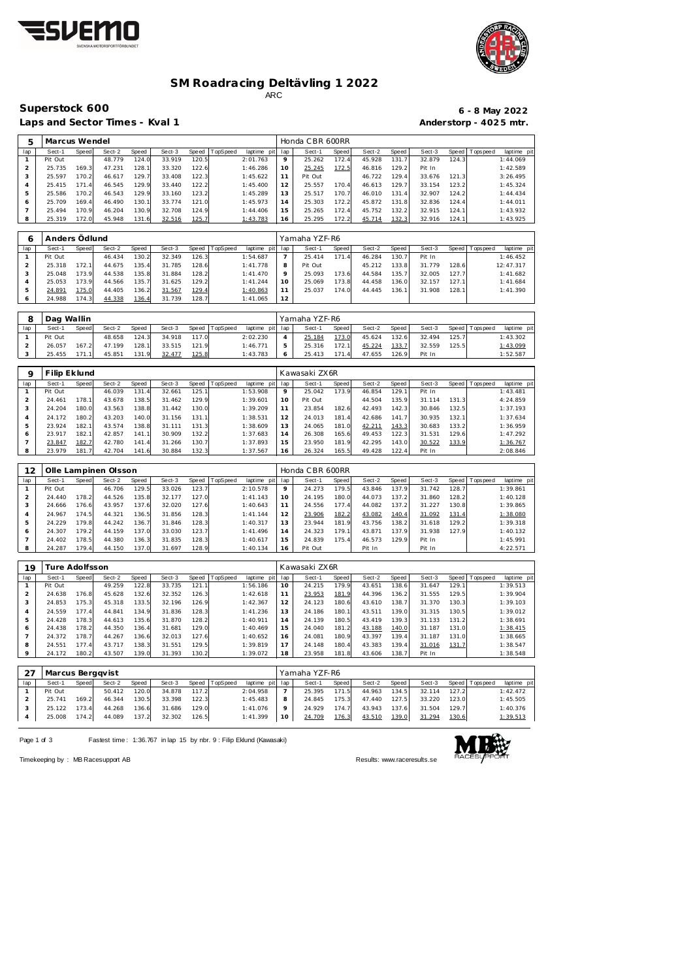



## **SM Roadracing Deltävling 1 2022** ARC

Laps and Sector Times - Kval 1 **Anderstorp - 4025 mtr.** 

## **Superstock 600 6 - 8 May 2022**

| 5   | Marcus Wendel |       |        |       |        |       |          |                 |                 | Honda CBR 600RR |       |        |       |        |       |           |             |
|-----|---------------|-------|--------|-------|--------|-------|----------|-----------------|-----------------|-----------------|-------|--------|-------|--------|-------|-----------|-------------|
| lap | Sect-1        | Speed | Sect-2 | Speed | Sect-3 | Speed | TopSpeed | laptime pit lap |                 | Sect-1          | Speed | Sect-2 | Speed | Sect-3 | Speed | Tops peed | laptime pit |
|     | Pit Out       |       | 48.779 | 124.0 | 33.919 | 120.5 |          | 2:01.763        |                 | 25.262          | 172.4 | 45.928 | 131.  | 32.879 | 124.3 |           | 1:44.069    |
|     | 25.735        | 169.3 | 47.231 | 128.1 | 33.320 | 122.6 |          | 1:46.286        | 10 <sup>°</sup> | 25.245          | 172.5 | 46.816 | 129.2 | Pit In |       |           | 1:42.589    |
| 3   | 25.597        | 170.2 | 46.617 | 129.7 | 33.408 | 122.3 |          | 1:45.622        |                 | Pit Out         |       | 46.722 | 129.4 | 33.676 | 121.3 |           | 3:26.495    |
| 4   | 25.415        | 171.4 | 46.545 | 129.9 | 33.440 | 122.2 |          | 1:45.400        |                 | 25.557          | 170.4 | 46.613 | 129.7 | 33.154 | 123.2 |           | 1:45.324    |
| 5   | 25.586        | 170.2 | 46.543 | 129.9 | 33.160 | 123.2 |          | 1:45.289        | 13              | 25.517          | 170.7 | 46.010 | 131.4 | 32.907 | 124.2 |           | 1:44.434    |
| 6   | 25.709        | 169.4 | 46.490 | 130.1 | 33.774 | 121.0 |          | 1:45.973        | 4               | 25.303          | 172.2 | 45.872 | 131.8 | 32.836 | 124.4 |           | 1:44.011    |
|     | 25.494        | 170.9 | 46.204 | 130.9 | 32.708 | 124.9 |          | 1:44.406        | 15              | 25.265          | 172.4 | 45.752 | 132.2 | 32.915 | 124.1 |           | 1:43.932    |
| 8   | 25.319        | 172.0 | 45.948 | 131.6 | 32.516 | 125.7 |          | 1:43.783        | 16              | 25.295          | 172.2 | 45.714 | 132.3 | 32.916 | 124.1 |           | 1:43.925    |

|     | Anders Ödlund |       |        |       |        |       |          |             |     | Yamaha YZF-R6 |       |        |       |        |       |                 |             |
|-----|---------------|-------|--------|-------|--------|-------|----------|-------------|-----|---------------|-------|--------|-------|--------|-------|-----------------|-------------|
| lap | Sect-1        | Speed | Sect-2 | Speed | Sect-3 | Speed | TopSpeed | laptime pit | lap | Sect-1        | Speed | Sect-2 | Speed | Sect-3 |       | Speed Tops peed | laptime pit |
|     | Pit Out       |       | 46.434 | 130.2 | 32.349 | 126.3 |          | 1:54.687    |     | 25.414        | 171.4 | 46.284 | 130.7 | Pit In |       |                 | 1:46.452    |
|     | 25.318        | 172.1 | 44.675 | 135.4 | 31.785 | 128.6 |          | 1:41.778    | 8   | Pit Out       |       | 45.212 | 33.8  | 31.779 | 128.6 |                 | 12:47.317   |
| 3   | 25.048        | 173.9 | 44.538 | 135.8 | 31.884 | 128.2 |          | 1:41.470    | Q   | 25.093        | 173.6 | 44.584 | 135.7 | 32.005 | 127.7 |                 | 1:41.682    |
| 4   | 25.053        | 173.9 | 44.566 | 135.7 | 31.625 | 129.2 |          | 1:41.244    | 10  | 25.069        | 173.8 | 44.458 | 136.0 | 32.157 | 127.1 |                 | 1:41.684    |
| 5   | 24.891        | 175.0 | 44.405 | 136.2 | 31.567 | 129.4 |          | 1:40.863    | 11  | 25.037        | 174.0 | 44.445 | 136.7 | 31.908 | 128.1 |                 | 1:41.390    |
| 6   | 24.988        | 174.3 | 44.338 | 136.4 | 31.739 | 128.7 |          | 1:41.065    | 12  |               |       |        |       |        |       |                 |             |

| O   | Dag Wallin |        |        |       |        |       |          |                |     | Yamaha YZF-R6 |       |        |       |        |       |                 |                 |
|-----|------------|--------|--------|-------|--------|-------|----------|----------------|-----|---------------|-------|--------|-------|--------|-------|-----------------|-----------------|
| lap | Sect-1     | Speed  | Sect-2 | Speed | Sect-3 | Speed | TopSpeed | laptime<br>pit | lap | Sect-1        | Speed | Sect-2 | Speed | Sect-3 |       | Speed Tops peed | laptime pit     |
|     | Pit Out    |        | 48.658 | 124.3 | 34.918 | 117.0 |          | 2:02.230       |     | 25.184        | 173.0 | 45.624 | 132.6 | 32.494 | 125.7 |                 | 1:43.302        |
|     | 26.057     | 167.2  | 47.199 | 128.7 | 33.515 | 121.9 |          | 1:46.771       |     | 25.316        | 172.1 | 45.224 | 133.7 | 32.559 | 125.5 |                 | <u>1:43.099</u> |
|     | 25.455     | 171 11 | 45.851 | 131.9 | 32.477 | 125.8 |          | 1:43.783       |     | 25.413        | 171   | 47.655 | 126.9 | Pit In |       |                 | 1:52.587        |

| Q   | Filip Eklund |       |        |       |        |        |                 |             |     | Kawasaki ZX6R |                       |        |                        |        |       |                |             |
|-----|--------------|-------|--------|-------|--------|--------|-----------------|-------------|-----|---------------|-----------------------|--------|------------------------|--------|-------|----------------|-------------|
| lap | Sect-1       | Speed | Sect-2 | Speed | Sect-3 | Speed  | <b>TopSpeed</b> | laptime pit | lap | Sect-1        | Speed                 | Sect-2 | Speed                  | Sect-3 |       | Speed Topspeed | laptime pit |
|     | Pit Out      |       | 46.039 | 131.4 | 32.661 | 125.1  |                 | 1:53.908    |     | 25.042        | 173.9                 | 46.854 | 129.1                  | Pit In |       |                | 1:43.481    |
|     | 24.461       | 178.1 | 43.678 | 138.5 | 31.462 | 129.9  |                 | 1:39.601    | 10  | Pit Out       |                       | 44.504 | 135.9                  | 31.114 | 131.3 |                | 4:24.859    |
|     | 24.204       | 180.0 | 43.563 | 138.8 | 31.442 | 130.0  |                 | 1:39.209    |     | 23.854        | 182.6                 | 42.493 | 142.3                  | 30.846 | 132.5 |                | 1:37.193    |
|     | 24.172       | 180.2 | 43.203 | 140.0 | 31.156 | 131.11 |                 | 1:38.531    | 12  | 24.013        | 181<br>$\overline{a}$ | 42.686 | $\overline{7}$<br>141. | 30.935 | 132.1 |                | 1:37.634    |
|     | 23.924       | 182.1 | 43.574 | 138.8 | 31.111 | 131.3  |                 | 1:38.609    | 13  | 24.065        | 181.0                 | 42.211 | 143.3                  | 30.683 | 133.2 |                | 1:36.959    |
| 6   | 23.917       | 182.1 | 42.857 | 141.1 | 30.909 | 132.2  |                 | 1:37.683    | 14  | 26.308        | 165.6                 | 49.453 | 122.3                  | 31.531 | 129.6 |                | 1:47.292    |
|     | 23.847       | 182.7 | 42.780 | 141.4 | 31.266 | 130.7  |                 | 1:37.893    | 15  | 23.950        | 181.9                 | 42.295 | 143.0                  | 30.522 | 133.9 |                | 1:36.767    |
|     | 23.979       | 181.7 | 42.704 | 141.6 | 30.884 | 132.3  |                 | 1:37.567    | 16  | 26.324        | 165.5                 | 49.428 | 122.4                  | Pit In |       |                | 2:08.846    |

| 12  |         |       | Olle Lampinen Olsson |       |        |       |          |             |                 | Honda CBR 600RR |       |        |       |        |       |                  |             |
|-----|---------|-------|----------------------|-------|--------|-------|----------|-------------|-----------------|-----------------|-------|--------|-------|--------|-------|------------------|-------------|
| lap | Sect-1  | Speed | Sect-2               | Speed | Sect-3 | Speed | TopSpeed | laptime pit | lap             | Sect-1          | Speed | Sect-2 | Speed | Sect-3 |       | Speed   Topspeed | laptime pit |
|     | Pit Out |       | 46.706               | 129.5 | 33.026 | 123.7 |          | 2:10.578    |                 | 24.273          | 179.5 | 43.846 | 137.9 | 31.742 | 128.7 |                  | 1:39.861    |
|     | 24.440  | 178.2 | 44.526               | 135.8 | 32.177 | 127.0 |          | 1:41.143    | 10              | 24.195          | 180.0 | 44.073 | 137.2 | 31.860 | 128.2 |                  | 1:40.128    |
| 3   | 24.666  | 176.6 | 43.957               | 137.6 | 32.020 | 127.6 |          | 1:40.643    | 11              | 24.556          | 177.4 | 44.082 | 137.2 | 31.227 | 130.8 |                  | 1:39.865    |
|     | 24.967  | 174.5 | 44.321               | 136.5 | 31.856 | 128.3 |          | 1: 41.144   | 12 <sup>7</sup> | 23.906          | 182.2 | 43.082 | 140.4 | 31.092 | 131.4 |                  | 1:38.080    |
|     | 24.229  | 179.8 | 44.242               | 136.7 | 31.846 | 128.3 |          | 1:40.317    | 13              | 23.944          | 181.9 | 43.756 | 138.2 | 31.618 | 129.2 |                  | 1:39.318    |
| 6   | 24.307  | 179.2 | 44.159               | 137.0 | 33.030 | 123.7 |          | 1:41.496    | 14              | 24.323          | 179.1 | 43.871 | 137.9 | 31.938 | 127.9 |                  | 1:40.132    |
|     | 24.402  | 178.5 | 44.380               | 136.3 | 31.835 | 128.3 |          | 1:40.617    | 15              | 24.839          | 175.4 | 46.573 | 129.9 | Pit In |       |                  | 1:45.991    |
| 8   | 24.287  | 179.4 | 44.150               | 137.0 | 31.697 | 128.9 |          | 1:40.134    | 16              | Pit Out         |       | Pit In |       | Pit In |       |                  | 4:22.571    |

| 19       |         | ure Adolfsson |        |              |        |       |          |                |     | Kawasaki ZX6R |              |        |       |        |                    |                 |             |
|----------|---------|---------------|--------|--------------|--------|-------|----------|----------------|-----|---------------|--------------|--------|-------|--------|--------------------|-----------------|-------------|
| lap      | Sect-1  | <b>Speed</b>  | Sect-2 | <b>Speed</b> | Sect-3 | Speed | TopSpeed | laptime<br>pit | lap | Sect-1        | <b>Speed</b> | Sect-2 | Speed | Sect-3 |                    | Speed Tops peed | laptime pit |
|          | Pit Out |               | 49.259 | 122.8        | 33.735 | 121.1 |          | 1:56.186       | 10  | 24.215        | 179.9        | 43.651 | 138.6 | 31.647 | 129.1 <sub>1</sub> |                 | 1:39.513    |
|          | 24.638  | 176.8         | 45.628 | 132.6        | 32.352 | 126.3 |          | 1:42.618       | 11  | 23.953        | 181.9        | 44.396 | 136.2 | 31.555 | 129.5              |                 | 1:39.904    |
| 3        | 24.853  | 175.3         | 45.318 | 133.5        | 32.196 | 126.9 |          | 1:42.367       | 12  | 24.123        | 180.6        | 43.610 | 138.7 | 31.370 | 130.3              |                 | 1:39.103    |
| 4        | 24.559  | 177.4         | 44.841 | 134.9        | 31.836 | 128.3 |          | 1:41.236       | 13  | 24.186        | 180.1        | 43.511 | 139.0 | 31.315 | 130.5              |                 | 1:39.012    |
| 5        | 24.428  | 178.3         | 44.613 | 135.6        | 31.870 | 128.2 |          | 1:40.911       | 14  | 24.139        | 180.5        | 43.419 | 139.3 | 31.133 | 131.2              |                 | 1:38.691    |
| 6        | 24.438  | 178.2         | 44.350 | 136.4        | 31.681 | 129.0 |          | 1:40.469       | 15  | 24.040        | 181.2        | 43.188 | 140.0 | 31.187 | 131.0              |                 | 1:38.415    |
|          | 24.372  | 178.7         | 44.267 | 136.6        | 32.013 | 127.6 |          | 1:40.652       | 16  | 24.081        | 180.9        | 43.397 | 139.4 | 31.187 | 131.0              |                 | 1:38.665    |
| 8        | 24.551  | 177.4         | 43.717 | 138.3        | 31.551 | 129.5 |          | 1:39.819       | 17  | 24.148        | 180.4        | 43.383 | 139.4 | 31.016 | 131.7              |                 | 1:38.547    |
| $\Omega$ | 24.172  | 180.2         | 43.507 | 139.0        | 31.393 | 130.2 |          | 1:39.072       | 18  | 23.958        | 181.8        | 43.606 | 138.7 | Pit In |                    |                 | 1:38.548    |

|     | 27 | Marcus Berggvist |       |        |       |        |       |          |                 |         | Yamaha YZF-R6 |       |        |       |        |       |                |             |
|-----|----|------------------|-------|--------|-------|--------|-------|----------|-----------------|---------|---------------|-------|--------|-------|--------|-------|----------------|-------------|
| lap |    | Sect-1           | Speed | Sect-2 | Speed | Sect-3 | Speed | TopSpeed | laptime pit lap |         | Sect-1        | Speed | Sect-2 | Speed | Sect-3 |       | Speed Topspeed | laptime pit |
|     |    | Pit Out          |       | 50.412 | 120.0 | 34.878 | 117.2 |          | 2:04.958        |         | 25.395        | 171.5 | 44.963 | 134.5 | 32.114 | 127.2 |                | 1:42.472    |
|     |    | 25.741           | 169.2 | 46.344 | 130.5 | 33.398 | 122.3 |          | 1:45.483        | 8       | 24.845        | 175.3 | 47.440 | 127.5 | 33.220 | 123.0 |                | 1:45.505    |
|     |    | 25.122           | 173.4 | 44.268 | 136.6 | 31.686 | 129.0 |          | 1:41.076        | $\circ$ | 24.929        | 174.7 | 43.943 | 137.6 | 31.504 | 129.7 |                | 1:40.376    |
|     |    | 25,008           | 174.2 | 44.089 | 137.2 | 32.302 | 126.5 |          | 1: 41.399       | 10      | 24.709        | 176.3 | 43.510 | 139.0 | 31.294 | 130.6 |                | 1:39.513    |

Page 1 of 3 Fastest time: 1:36.767 in lap 15 by nbr. 9 : Filip Eklund (Kawasaki)



Timekeeping by : MB Racesupport AB Results:<www.raceresults.se>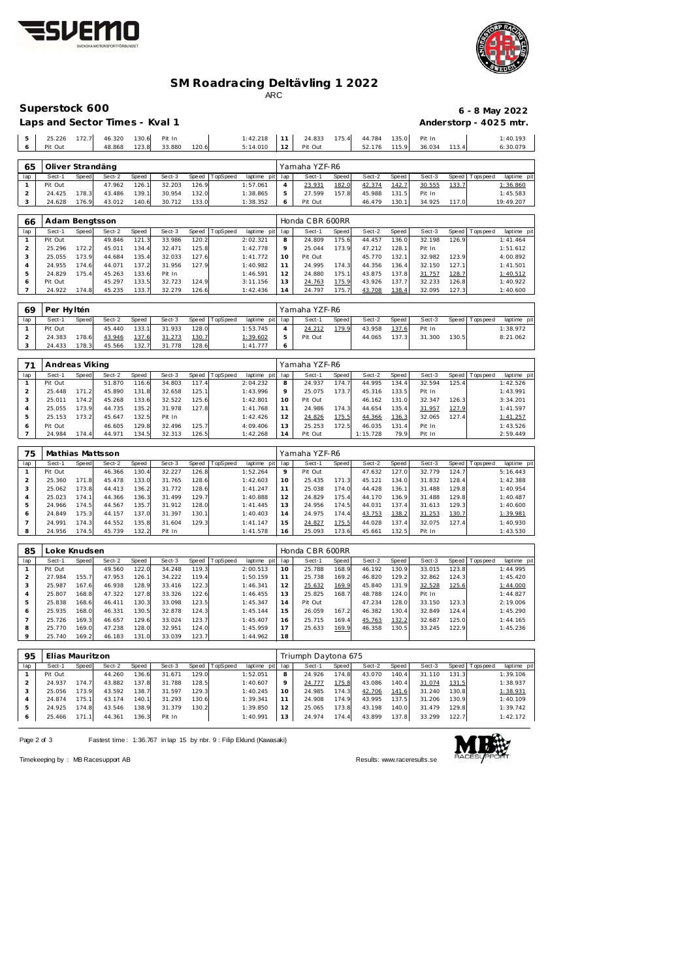



## **SM Roadracing Deltävling 1 2022**

ARC

|                                | Superstock 600    |                |                                |                |                  |                |          |                      |            |                     |                |                  |                |                  |                |             | 6 - 8 May 2022         |
|--------------------------------|-------------------|----------------|--------------------------------|----------------|------------------|----------------|----------|----------------------|------------|---------------------|----------------|------------------|----------------|------------------|----------------|-------------|------------------------|
|                                |                   |                |                                |                |                  |                |          |                      |            |                     |                |                  |                |                  |                |             |                        |
|                                |                   |                | Laps and Sector Times - Kval 1 |                |                  |                |          |                      |            |                     |                |                  |                |                  |                |             | Anderstorp - 4025 mtr. |
|                                |                   |                |                                |                |                  |                |          |                      |            |                     |                |                  |                |                  |                |             |                        |
| 5<br>6                         | 25.226<br>Pit Out | 172.7          | 46.320<br>48.868               | 130.6<br>123.8 | Pit In<br>33.880 | 120.6          |          | 1:42.218             | 11<br>12   | 24.833<br>Pit Out   | 175.4          | 44.784           | 135.0<br>115.9 | Pit In<br>36.034 | 113.4          |             | 1:40.193<br>6:30.079   |
|                                |                   |                |                                |                |                  |                |          | 5:14.010             |            |                     |                | 52.176           |                |                  |                |             |                        |
|                                |                   |                |                                |                |                  |                |          |                      |            |                     |                |                  |                |                  |                |             |                        |
| 65                             | Oliver Strandäng  |                |                                |                |                  |                |          |                      |            | Yamaha YZF-R6       |                |                  |                |                  |                |             |                        |
| lap                            | Sect-1            | Speed          | Sect-2                         | Speed          | Sect-3           | Speed          | TopSpeed | laptime pit          | lap        | Sect-1              | <b>Speed</b>   | Sect-2           | Speed          | Sect-3           | Speed          | Tops peed   | laptime pi             |
| $\mathbf{1}$                   | Pit Out           |                | 47.962                         | 126.1          | 32.203           | 126.9          |          | 1:57.061             | $\sqrt{4}$ | 23.931              | 182.0          | 42.374           | 142.7          | 30.555           | 133.7          |             | 1:36.860               |
| $\overline{a}$                 | 24.425            | 178.3          | 43.486                         | 139.1          | 30.954           | 132.0          |          | 1:38.865             | 5          | 27.599              | 157.8          | 45.988           | 131.5          | Pit In           |                |             | 1:45.583               |
| 3                              | 24.628            | 176.9          | 43.012                         | 140.6          | 30.712           | 133.0          |          | 1:38.352             | 6          | Pit Out             |                | 46.479           | 130.1          | 34.925           | 117.0          |             | 19:49.207              |
|                                |                   |                |                                |                |                  |                |          |                      |            |                     |                |                  |                |                  |                |             |                        |
| 66                             | Adam Bengtsson    |                |                                |                |                  |                |          |                      |            | Honda CBR 600RR     |                |                  |                |                  |                |             |                        |
| lap                            | Sect-1            | Speed          | Sect-2                         | Speed          | Sect-3           | Speed          | TopSpeed | laptime pit          | lap        | Sect-1              | Speed          | Sect-2           | Speed          | Sect-3           | Speed          | Tops peed   | laptime pi             |
| $\mathbf{1}$                   | Pit Out           |                | 49.846                         | 121.3          | 33.986           | 120.2          |          | 2:02.321             | 8          | 24.809              | 175.6          | 44.457           | 136.0          | 32.198           | 126.9          |             | 1:41.464               |
| $\overline{a}$                 | 25.296            | 172.2          | 45.011                         | 134.4          | 32.471           | 125.8          |          | 1:42.778             | 9          | 25.044              | 173.9          | 47.212           | 128.1          | Pit In           |                |             | 1:51.612               |
| 3                              | 25.055            | 173.9          | 44.684                         | 135.4          | 32.033           | 127.6          |          | 1:41.772             | 10         | Pit Out             |                | 45.770           | 132.1          | 32.982           | 123.9          |             | 4:00.892               |
| 4                              | 24.955            | 174.6          | 44.071                         | 137.2          | 31.956           | 127.9          |          | 1:40.982             | 11         | 24.995              | 174.3          | 44.356           | 136.4          | 32.150           | 127.1          |             | 1:41.501               |
| 5                              | 24.829            | 175.4          | 45.263                         | 133.6          | Pit In           |                |          | 1:46.591             | 12         | 24.880              | 175.1          | 43.875           | 137.8          | 31.757           | 128.7          |             | 1:40.512               |
| 6                              | Pit Out           |                | 45.297                         | 133.5          | 32.723           | 124.9          |          | 3:11.156             | 13         | 24.763              | 175.9          | 43.926           | 137.7          | 32.233           | 126.8          |             | 1:40.922               |
| 7                              | 24.922            | 174.8          | 45.235                         | 133.7          | 32.279           | 126.6          |          | 1:42.436             | 14         | 24.797              | 175.7          | 43.708           | 138.4          | 32.095           | 127.3          |             | 1:40.600               |
|                                |                   |                |                                |                |                  |                |          |                      |            |                     |                |                  |                |                  |                |             |                        |
| 69                             | Per Hyltén        |                |                                |                |                  |                |          |                      |            | Yamaha YZF-R6       |                |                  |                |                  |                |             |                        |
| lap                            | Sect-1            | Speed          | Sect-2                         | Speed          | Sect-3           | Speed          | TopSpeed | laptime pit          | lap        | Sect-1              | Speed          | Sect-2           | Speed          | Sect-3           | Speed          | Tops peed   | laptime pi             |
| $\mathbf{1}$                   | Pit Out           |                | 45.440                         | 133.1          | 31.933           | 128.0          |          | 1:53.745             | $\sqrt{4}$ | 24.212              | 179.9          | 43.958           | 137.6          | Pit In           |                |             | 1:38.972               |
| $\overline{a}$                 | 24.383            | 178.6          | 43.946                         | 137.6          | 31.273           | 130.7          |          | 1:39.602             | 5          | Pit Out             |                | 44.065           | 137.3          | 31.300           | 130.5          |             | 8:21.062               |
| 3                              | 24.433            | 178.3          | 45.566                         | 132.7          | 31.778           | 128.6          |          | 1:41.777             | 6          |                     |                |                  |                |                  |                |             |                        |
|                                |                   |                |                                |                |                  |                |          |                      |            |                     |                |                  |                |                  |                |             |                        |
| 71                             | Andreas Viking    |                |                                |                |                  |                |          |                      |            | Yamaha YZF-R6       |                |                  |                |                  |                |             |                        |
| lap                            | Sect-1            | Speed          | Sect-2                         | Speed          | Sect-3           | Speed          | TopSpeed | laptime pit          | lap        | Sect-1              | Speed          | Sect-2           | Speed          | Sect-3           | Speed          | T ops pee d | laptime pi             |
| $\mathbf{1}$                   | Pit Out           |                | 51.870                         | 116.6          | 34.803           | 117.4          |          | 2:04.232             | 8          | 24.937              | 174.7          | 44.995           | 134.4          | 32.594           | 125.4          |             | 1:42.526               |
| $\mathbf 2$                    | 25.448            | 171.2          | 45.890                         | 131.8          | 32.658           | 125.1          |          | 1:43.996             | 9          | 25.075              | 173.7          | 45.316           | 133.5          | Pit In           |                |             | 1:43.991               |
| 3                              | 25.011            | 174.2          | 45.268                         | 133.6          | 32.522           | 125.6          |          | 1:42.801             | 10         | Pit Out             |                | 46.162           | 131.0          | 32.347           | 126.3          |             | 3:34.201               |
| 4                              | 25.055            | 173.9          | 44.735                         | 135.2          | 31.978           | 127.8          |          | 1:41.768             | 11         | 24.986              | 174.3          | 44.654           | 135.4          | 31.957           | 127.9          |             | 1:41.597               |
| 5                              | 25.153            | 173.2          | 45.647                         | 132.5          | Pit In           |                |          | 1:42.426             | 12         | 24.826              | 175.5          | 44.366           | 136.3          | 32.065           | 127.4          |             | 1:41.257               |
| 6                              | Pit Out           |                | 46.605                         | 129.8          | 32.496           | 125.7          |          | 4:09.406             | 13         | 25.253              | 172.5          | 46.035           | 131.4          | Pit In           |                |             | 1:43.526               |
| $\overline{7}$                 | 24.984            | 174.4          | 44.971                         | 134.5          | 32.313           | 126.5          |          | 1:42.268             | 14         | Pit Out             |                | 1:15.728         | 79.9           | Pit In           |                |             | 2:59.449               |
|                                |                   |                |                                |                |                  |                |          |                      |            |                     |                |                  |                |                  |                |             |                        |
| 75                             |                   |                |                                |                |                  |                |          |                      |            | Yamaha YZF-R6       |                |                  |                |                  |                |             |                        |
|                                |                   |                | Mathias Mattsson               |                |                  |                |          |                      |            |                     |                |                  |                |                  |                |             |                        |
| lap                            | Sect-1            | Speed          | Sect-2                         | Speed          | Sect-3           | Speed          | TopSpeed | laptime pit          | lap        | Sect-1              | Speed          | Sect-2           | Speed          | Sect-3<br>32.779 | Speed<br>124.7 | Tops peed   | laptime pi             |
| $\mathbf{1}$<br>$\overline{a}$ | Pit Out<br>25.360 |                | 46.366<br>45.478               | 130.4<br>133.0 | 32.227<br>31.765 | 126.8<br>128.6 |          | 1:52.264<br>1:42.603 | 9<br>10    | Pit Out<br>25.435   | 171.3          | 47.632<br>45.121 | 127.0<br>134.0 | 31.832           | 128.4          |             | 5:16.443<br>1:42.388   |
| 3                              | 25.062            | 171.8<br>173.8 | 44.413                         | 136.2          | 31.772           | 128.6          |          | 1:41.247             | 11         | 25.038              | 174.0          | 44.428           | 136.1          | 31.488           | 129.8          |             | 1:40.954               |
| $\overline{4}$                 | 25.023            | 174.1          | 44.366                         | 136.3          | 31.499           | 129.7          |          | 1:40.888             | 12         | 24.829              | 175.4          | 44.170           | 136.9          | 31.488           | 129.8          |             | 1:40.487               |
| 5                              | 24.966            | 174.5          | 44.567                         | 135.7          | 31.912           | 128.0          |          | 1:41.445             | 13         | 24.956              | 174.5          | 44.031           | 137.4          | 31.613           | 129.3          |             | 1:40.600               |
| 6                              | 24.849            | 175.3          | 44.157                         | 137.0          | 31.397           | 130.1          |          | 1:40.403             | 14         | 24.975              | 174.4          | 43.753           | 138.2          | 31.253           | 130.7          |             | 1:39.981               |
| $\overline{7}$                 | 24.991            | 174.3          | 44.552                         | 135.8          | 31.604           | 129.3          |          | 1:41.147             | 15         | 24.827              | 175.5          | 44.028           | 137.4          | 32.075           | 127.4          |             | 1:40.930               |
| 8                              | 24.956            | 174.5          | 45.739                         | 132.2          | Pit In           |                |          | 1:41.578             | 16         | 25.093              | 173.6          | 45.661           | 132.5          | Pit In           |                |             | 1:43.530               |
|                                |                   |                |                                |                |                  |                |          |                      |            |                     |                |                  |                |                  |                |             |                        |
|                                |                   |                |                                |                |                  |                |          |                      |            |                     |                |                  |                |                  |                |             |                        |
| 85                             | Loke Knudsen      |                |                                |                |                  |                |          |                      |            | Honda CBR 600RR     |                |                  |                |                  |                |             |                        |
| lap                            | Sect-1            | Speed          | Sect-2                         | Speed          | Sect-3           | Speed          | TopSpeed | laptime pit          | lap        | Sect-1              | Speed          | Sect-2           | Speed          | Sect-3           | Speed          | T ops pee d | laptime pit            |
| $\mathbf{1}$                   | Pit Out           |                | 49.560                         | 122.0          | 34.248           | 119.3          |          | 2:00.513             | 10         | 25.788              | 168.9          | 46.192           | 130.9          | 33.015           | 123.8          |             | 1:44.995               |
| $\overline{c}$                 | 27.984            | 155.7          | 47.953                         | 126.1          | 34.222           | 119.4          |          | 1:50.159             | 11         | 25.738              | 169.2          | 46.820           | 129.2          | 32.862           | 124.3          |             | 1:45.420               |
| 3                              | 25.987            | 167.6          | 46.938                         | 128.9          | 33.416           | 122.3          |          | 1:46.341             | 12         | 25.632              | 169.9          | 45.840           | 131.9          | 32.528           | 125.6          |             | 1:44.000               |
| $\sqrt{4}$<br>5                | 25.807<br>25.838  | 168.8<br>168.6 | 47.322<br>46.411               | 127.8<br>130.3 | 33.326<br>33.098 | 122.6<br>123.5 |          | 1:46.455<br>1:45.347 | 13<br>14   | 25.825<br>Pit Out   | 168.7          | 48.788<br>47.234 | 124.0<br>128.0 | Pit In<br>33.150 |                |             | 1:44.827<br>2:19.006   |
| 6                              | 25.935            | 168.0          | 46.331                         | 130.5          | 32.878           | 124.3          |          | 1:45.144             | 15         | 26.059              |                | 46.382           | 130.4          | 32.849           | 123.3<br>124.4 |             | 1:45.290               |
|                                |                   |                |                                |                |                  |                |          |                      |            |                     | 167.2          |                  |                |                  |                |             | 1:44.165               |
| $\overline{7}$<br>8            | 25.726<br>25.770  | 169.3<br>169.0 | 46.657<br>47.238               | 129.6<br>128.0 | 33.024<br>32.951 | 123.7<br>124.0 |          | 1:45.407<br>1:45.959 | 16<br>17   | 25.715<br>25.633    | 169.4<br>169.9 | 45.763<br>46.358 | 132.2<br>130.5 | 32.687<br>33.245 | 125.0<br>122.9 |             | 1:45.236               |
| 9                              | 25.740            | 169.2          | 46.183                         | 131.0          | 33.039           | 123.7          |          | 1:44.962             | 18         |                     |                |                  |                |                  |                |             |                        |
|                                |                   |                |                                |                |                  |                |          |                      |            |                     |                |                  |                |                  |                |             |                        |
|                                |                   |                |                                |                |                  |                |          |                      |            |                     |                |                  |                |                  |                |             |                        |
| 95                             | Elias Mauritzon   |                |                                |                |                  |                |          |                      |            | Triumph Daytona 675 |                |                  |                |                  |                |             |                        |
| lap                            | Sect-1            | Speed          | Sect-2                         | Speed          | Sect-3           | Speed          | TopSpeed | laptime pit          | lap        | Sect-1              | Speed          | Sect-2           | Speed          | Sect-3           | Speed          | T ops pee d | laptime pi             |
| $\mathbf{1}$                   | Pit Out           |                | 44.260                         | 136.6          | 31.671           | 129.0          |          | 1:52.051             | 8          | 24.926              | 174.8          | 43.070           | 140.4          | 31.110           | 131.3          |             | 1:39.106               |
| $\overline{c}$                 | 24.937            | 174.7          | 43.882                         | 137.8          | 31.788           | 128.5          |          | 1:40.607             | 9          | 24.777              | 175.8          | 43.086           | 140.4          | 31.074           | 131.5          |             | 1:38.937               |
| 3                              | 25.056            | 173.9          | 43.592                         | 138.7          | 31.597           | 129.3          |          | 1:40.245             | 10         | 24.985              | 174.3          | 42.706           | 141.6          | 31.240           | 130.8          |             | 1:38.931               |
| 4                              | 24.874            | 175.1          | 43.174                         | 140.1          | 31.293           | 130.6          |          | 1:39.341             | 11         | 24.908              | 174.9          | 43.995           | 137.5          | 31.206           | 130.9          |             | 1:40.109               |
| 5                              | 24.925            | 174.8          | 43.546                         | 138.9          | 31.379           | 130.2          |          | 1:39.850             | 12         | 25.065              | 173.8          | 43.198           | 140.0          | 31.479           | 129.8          |             | 1:39.742               |

Page 2 of 3 Fastest time: 1:36.767 in lap 15 by nbr. 9 : Filip Eklund (Kawasaki)

 24.925 174.8 43.546 138.9 31.379 130.2 1:39.850 25.466 171.1 44.361 136.3 Pit In 1:40.991 13



24.974 174.4 43.899 137.8 33.299 122.7 1:42.172

Timekeeping by : MB Racesupport AB Results:<www.raceresults.se>